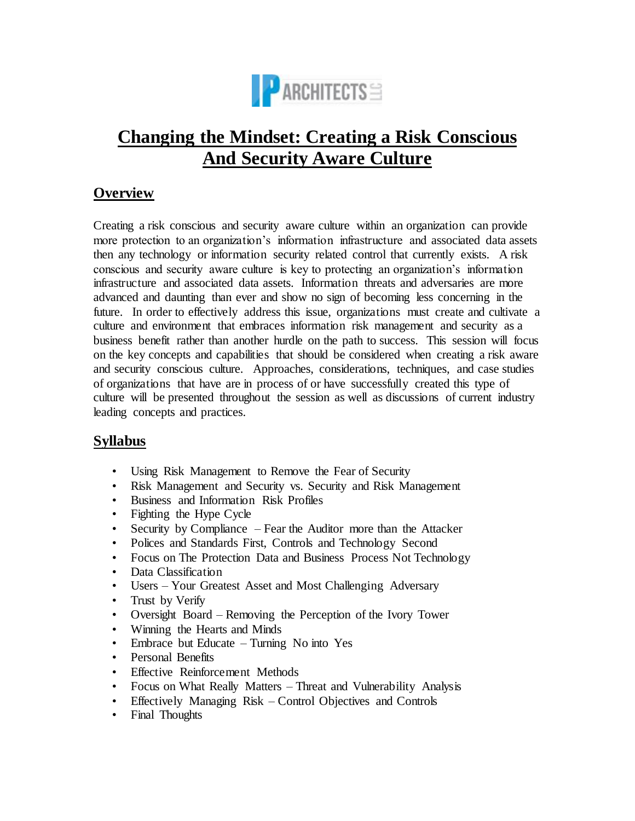

# **Changing the Mindset: Creating a Risk Conscious And Security Aware Culture**

## **Overview**

Creating a risk conscious and security aware culture within an organization can provide more protection to an organization's information infrastructure and associated data assets then any technology or information security related control that currently exists. A risk conscious and security aware culture is key to protecting an organization's information infrastructure and associated data assets. Information threats and adversaries are more advanced and daunting than ever and show no sign of becoming less concerning in the future. In order to effectively address this issue, organizations must create and cultivate a culture and environment that embraces information risk management and security as a business benefit rather than another hurdle on the path to success. This session will focus on the key concepts and capabilities that should be considered when creating a risk aware and security conscious culture. Approaches, considerations, techniques, and case studies of organizations that have are in process of or have successfully created this type of culture will be presented throughout the session as well as discussions of current industry leading concepts and practices.

### **Syllabus**

- Using Risk Management to Remove the Fear of Security
- Risk Management and Security vs. Security and Risk Management
- Business and Information Risk Profiles
- Fighting the Hype Cycle
- Security by Compliance Fear the Auditor more than the Attacker
- Polices and Standards First, Controls and Technology Second
- Focus on The Protection Data and Business Process Not Technology
- Data Classification
- Users Your Greatest Asset and Most Challenging Adversary
- Trust by Verify
- Oversight Board Removing the Perception of the Ivory Tower
- Winning the Hearts and Minds
- Embrace but Educate Turning No into Yes
- Personal Benefits
- Effective Reinforcement Methods
- Focus on What Really Matters Threat and Vulnerability Analysis
- Effectively Managing Risk Control Objectives and Controls
- Final Thoughts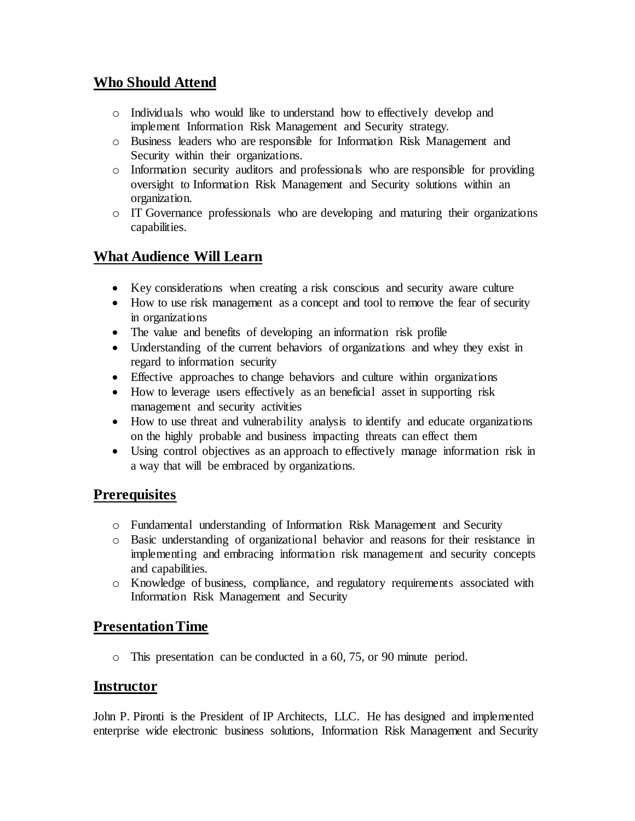## **Who Should Attend**

- o Individuals who would like to understand how to effectively develop and implement Information Risk Management and Security strategy.
- o Business leaders who are responsible for Information Risk Management and Security within their organizations.
- o Information security auditors and professionals who are responsible for providing oversight to Information Risk Management and Security solutions within an organization.
- o IT Governance professionals who are developing and maturing their organizations capabilities.

## **What Audience Will Learn**

- Key considerations when creating a risk conscious and security aware culture
- How to use risk management as a concept and tool to remove the fear of security in organizations
- The value and benefits of developing an information risk profile
- Understanding of the current behaviors of organizations and whey they exist in regard to information security
- Effective approaches to change behaviors and culture within organizations
- How to leverage users effectively as an beneficial asset in supporting risk management and security activities
- How to use threat and vulnerability analysis to identify and educate organizations on the highly probable and business impacting threats can effect them
- Using control objectives as an approach to effectively manage information risk in a way that will be embraced by organizations.

### **Prerequisites**

- o Fundamental understanding of Information Risk Management and Security
- o Basic understanding of organizational behavior and reasons for their resistance in implementing and embracing information risk management and security concepts and capabilities.
- o Knowledge of business, compliance, and regulatory requirements associated with Information Risk Management and Security

### **Presentation Time**

o This presentation can be conducted in a 60, 75, or 90 minute period.

#### **Instructor**

John P. Pironti is the President of IP Architects, LLC. He has designed and implemented enterprise wide electronic business solutions, Information Risk Management and Security